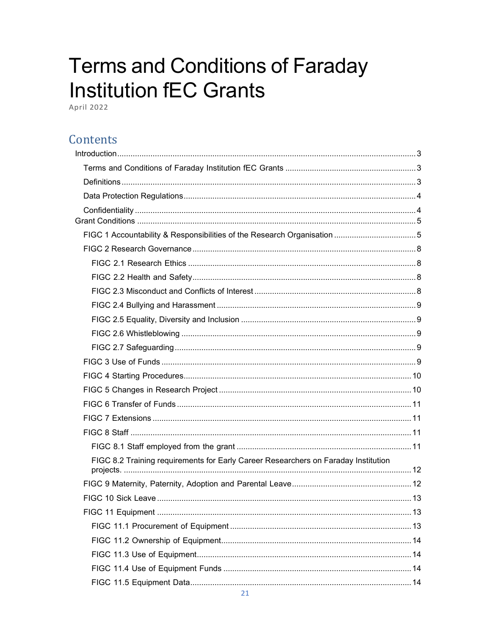# **Terms and Conditions of Faraday Institution fEC Grants**

April 2022

# Contents

| FIGC 8.2 Training requirements for Early Career Researchers on Faraday Institution |  |
|------------------------------------------------------------------------------------|--|
|                                                                                    |  |
|                                                                                    |  |
|                                                                                    |  |
|                                                                                    |  |
|                                                                                    |  |
|                                                                                    |  |
|                                                                                    |  |
|                                                                                    |  |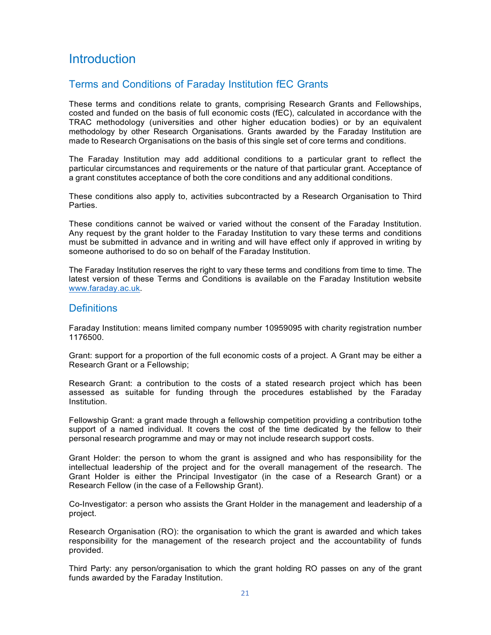# <span id="page-2-0"></span>**Introduction**

## <span id="page-2-1"></span>Terms and Conditions of Faraday Institution fEC Grants

These terms and conditions relate to grants, comprising Research Grants and Fellowships, costed and funded on the basis of full economic costs (fEC), calculated in accordance with the TRAC methodology (universities and other higher education bodies) or by an equivalent methodology by other Research Organisations. Grants awarded by the Faraday Institution are made to Research Organisations on the basis of this single set of core terms and conditions.

The Faraday Institution may add additional conditions to a particular grant to reflect the particular circumstances and requirements or the nature of that particular grant. Acceptance of a grant constitutes acceptance of both the core conditions and any additional conditions.

These conditions also apply to, activities subcontracted by a Research Organisation to Third Parties.

These conditions cannot be waived or varied without the consent of the Faraday Institution. Any request by the grant holder to the Faraday Institution to vary these terms and conditions must be submitted in advance and in writing and will have effect only if approved in writing by someone authorised to do so on behalf of the Faraday Institution.

The Faraday Institution reserves the right to vary these terms and conditions from time to time. The latest version of these Terms and Conditions is available on the Faraday Institution website [www.faraday.ac.uk.](http://www.faraday.ac.uk/)

## <span id="page-2-2"></span>**Definitions**

Faraday Institution: means limited company number 10959095 with charity registration number 1176500.

Grant: support for a proportion of the full economic costs of a project. A Grant may be either a Research Grant or a Fellowship;

Research Grant: a contribution to the costs of a stated research project which has been assessed as suitable for funding through the procedures established by the Faraday Institution.

Fellowship Grant: a grant made through a fellowship competition providing a contribution tothe support of a named individual. It covers the cost of the time dedicated by the fellow to their personal research programme and may or may not include research support costs.

Grant Holder: the person to whom the grant is assigned and who has responsibility for the intellectual leadership of the project and for the overall management of the research. The Grant Holder is either the Principal Investigator (in the case of a Research Grant) or a Research Fellow (in the case of a Fellowship Grant).

Co-Investigator: a person who assists the Grant Holder in the management and leadership of a project.

Research Organisation (RO): the organisation to which the grant is awarded and which takes responsibility for the management of the research project and the accountability of funds provided.

Third Party: any person/organisation to which the grant holding RO passes on any of the grant funds awarded by the Faraday Institution.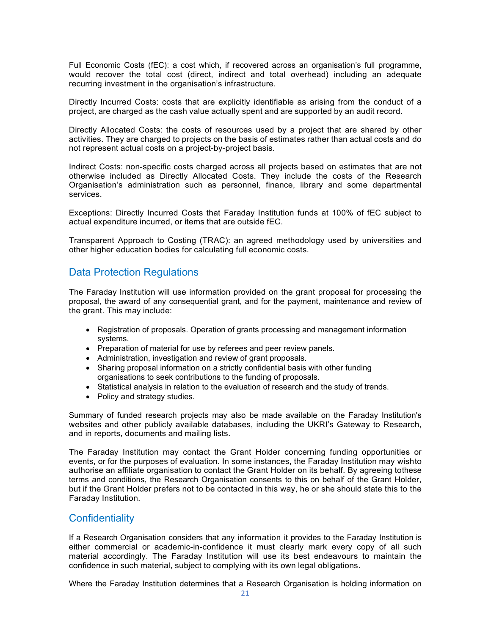Full Economic Costs (fEC): a cost which, if recovered across an organisation's full programme, would recover the total cost (direct, indirect and total overhead) including an adequate recurring investment in the organisation's infrastructure.

Directly Incurred Costs: costs that are explicitly identifiable as arising from the conduct of a project, are charged as the cash value actually spent and are supported by an audit record.

Directly Allocated Costs: the costs of resources used by a project that are shared by other activities. They are charged to projects on the basis of estimates rather than actual costs and do not represent actual costs on a project-by-project basis.

Indirect Costs: non-specific costs charged across all projects based on estimates that are not otherwise included as Directly Allocated Costs. They include the costs of the Research Organisation's administration such as personnel, finance, library and some departmental services.

Exceptions: Directly Incurred Costs that Faraday Institution funds at 100% of fEC subject to actual expenditure incurred, or items that are outside fEC.

Transparent Approach to Costing (TRAC): an agreed methodology used by universities and other higher education bodies for calculating full economic costs.

## <span id="page-3-0"></span>Data Protection Regulations

The Faraday Institution will use information provided on the grant proposal for processing the proposal, the award of any consequential grant, and for the payment, maintenance and review of the grant. This may include:

- Registration of proposals. Operation of grants processing and management information systems.
- Preparation of material for use by referees and peer review panels.
- Administration, investigation and review of grant proposals.
- Sharing proposal information on a strictly confidential basis with other funding organisations to seek contributions to the funding of proposals.
- Statistical analysis in relation to the evaluation of research and the study of trends.
- Policy and strategy studies.

Summary of funded research projects may also be made available on the Faraday Institution's websites and other publicly available databases, including the UKRI's Gateway to Research, and in reports, documents and mailing lists.

The Faraday Institution may contact the Grant Holder concerning funding opportunities or events, or for the purposes of evaluation. In some instances, the Faraday Institution may wishto authorise an affiliate organisation to contact the Grant Holder on its behalf. By agreeing tothese terms and conditions, the Research Organisation consents to this on behalf of the Grant Holder, but if the Grant Holder prefers not to be contacted in this way, he or she should state this to the Faraday Institution.

## <span id="page-3-1"></span>**Confidentiality**

If a Research Organisation considers that any information it provides to the Faraday Institution is either commercial or academic-in-confidence it must clearly mark every copy of all such material accordingly. The Faraday Institution will use its best endeavours to maintain the confidence in such material, subject to complying with its own legal obligations.

Where the Faraday Institution determines that a Research Organisation is holding information on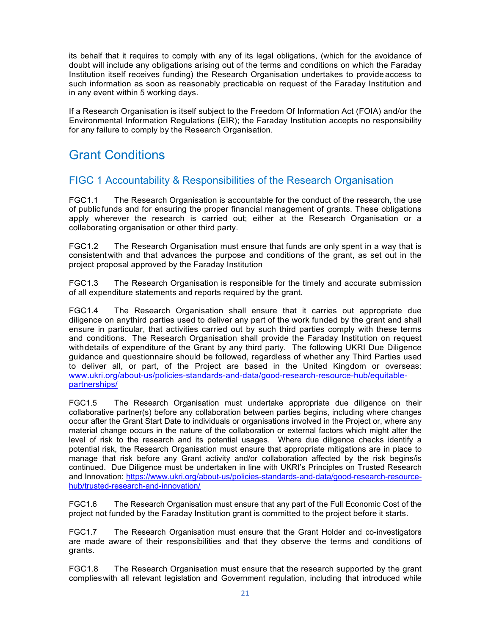its behalf that it requires to comply with any of its legal obligations, (which for the avoidance of doubt will include any obligations arising out of the terms and conditions on which the Faraday Institution itself receives funding) the Research Organisation undertakes to provide access to such information as soon as reasonably practicable on request of the Faraday Institution and in any event within 5 working days.

If a Research Organisation is itself subject to the Freedom Of Information Act (FOIA) and/or the Environmental Information Regulations (EIR); the Faraday Institution accepts no responsibility for any failure to comply by the Research Organisation.

# <span id="page-4-0"></span>Grant Conditions

## <span id="page-4-1"></span>FIGC 1 Accountability & Responsibilities of the Research Organisation

FGC1.1 The Research Organisation is accountable for the conduct of the research, the use of public funds and for ensuring the proper financial management of grants. These obligations apply wherever the research is carried out; either at the Research Organisation or a collaborating organisation or other third party.

FGC1.2 The Research Organisation must ensure that funds are only spent in a way that is consistent with and that advances the purpose and conditions of the grant, as set out in the project proposal approved by the Faraday Institution

FGC1.3 The Research Organisation is responsible for the timely and accurate submission of all expenditure statements and reports required by the grant.

FGC1.4 The Research Organisation shall ensure that it carries out appropriate due diligence on anythird parties used to deliver any part of the work funded by the grant and shall ensure in particular, that activities carried out by such third parties comply with these terms and conditions. The Research Organisation shall provide the Faraday Institution on request withdetails of expenditure of the Grant by any third party. The following UKRI Due Diligence guidance and questionnaire should be followed, regardless of whether any Third Parties used to deliver all, or part, of the Project are based in the United Kingdom or overseas: [www.ukri.org/about-us/policies-standards-and-data/good-research-resource-hub/equitable](http://www.ukri.org/about-us/policies-standards-and-data/good-research-resource-hub/equitable-partnerships/)[partnerships/](http://www.ukri.org/about-us/policies-standards-and-data/good-research-resource-hub/equitable-partnerships/)

FGC1.5 The Research Organisation must undertake appropriate due diligence on their collaborative partner(s) before any collaboration between parties begins, including where changes occur after the Grant Start Date to individuals or organisations involved in the Project or, where any material change occurs in the nature of the collaboration or external factors which might alter the level of risk to the research and its potential usages. Where due diligence checks identify a potential risk, the Research Organisation must ensure that appropriate mitigations are in place to manage that risk before any Grant activity and/or collaboration affected by the risk begins/is continued. Due Diligence must be undertaken in line with UKRI's Principles on Trusted Research and Innovation: [https://www.ukri.org/about-us/policies-standards-and-data/good-research-resource](https://www.ukri.org/about-us/policies-standards-and-data/good-research-resource-hub/trusted-research-and-innovation/)[hub/trusted-research-and-innovation/](https://www.ukri.org/about-us/policies-standards-and-data/good-research-resource-hub/trusted-research-and-innovation/)

FGC1.6 The Research Organisation must ensure that any part of the Full Economic Cost of the project not funded by the Faraday Institution grant is committed to the project before it starts.

FGC1.7 The Research Organisation must ensure that the Grant Holder and co-investigators are made aware of their responsibilities and that they observe the terms and conditions of grants.

FGC1.8 The Research Organisation must ensure that the research supported by the grant complieswith all relevant legislation and Government regulation, including that introduced while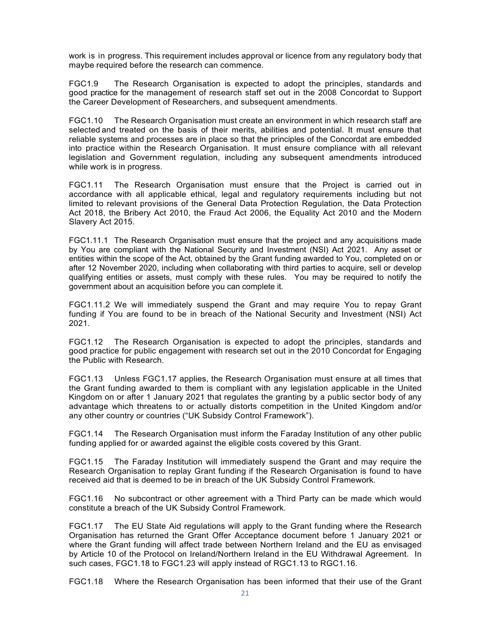work is in progress. This requirement includes approval or licence from any regulatory body that maybe required before the research can commence.

FGC1.9 The Research Organisation is expected to adopt the principles, standards and good practice for the management of research staff set out in the 2008 Concordat to Support the Career Development of Researchers, and subsequent amendments.

FGC1.10 The Research Organisation must create an environment in which research staff are selected and treated on the basis of their merits, abilities and potential. It must ensure that reliable systems and processes are in place so that the principles of the Concordat are embedded into practice within the Research Organisation. It must ensure compliance with all relevant legislation and Government regulation, including any subsequent amendments introduced while work is in progress.

FGC1.11 The Research Organisation must ensure that the Project is carried out in accordance with all applicable ethical, legal and regulatory requirements including but not limited to relevant provisions of the General Data Protection Regulation, the Data Protection Act 2018, the Bribery Act 2010, the Fraud Act 2006, the Equality Act 2010 and the Modern Slavery Act 2015.

FGC1.11.1 The Research Organisation must ensure that the project and any acquisitions made by You are compliant with the National Security and Investment (NSI) Act 2021. Any asset or entities within the scope of the Act, obtained by the Grant funding awarded to You, completed on or after 12 November 2020, including when collaborating with third parties to acquire, sell or develop qualifying entities or assets, must comply with these rules. You may be required to notify the government about an acquisition before you can complete it.

FGC1.11.2 We will immediately suspend the Grant and may require You to repay Grant funding if You are found to be in breach of the National Security and Investment (NSI) Act 2021.

FGC1.12 The Research Organisation is expected to adopt the principles, standards and good practice for public engagement with research set out in the 2010 Concordat for Engaging the Public with Research.

FGC1.13 Unless FGC1.17 applies, the Research Organisation must ensure at all times that the Grant funding awarded to them is compliant with any legislation applicable in the United Kingdom on or after 1 January 2021 that regulates the granting by a public sector body of any advantage which threatens to or actually distorts competition in the United Kingdom and/or any other country or countries ("UK Subsidy Control Framework").

FGC1.14 The Research Organisation must inform the Faraday Institution of any other public funding applied for or awarded against the eligible costs covered by this Grant.

FGC1.15 The Faraday Institution will immediately suspend the Grant and may require the Research Organisation to replay Grant funding if the Research Organisation is found to have received aid that is deemed to be in breach of the UK Subsidy Control Framework.

FGC1.16 No subcontract or other agreement with a Third Party can be made which would constitute a breach of the UK Subsidy Control Framework.

FGC1.17 The EU State Aid regulations will apply to the Grant funding where the Research Organisation has returned the Grant Offer Acceptance document before 1 January 2021 or where the Grant funding will affect trade between Northern Ireland and the EU as envisaged by Article 10 of the Protocol on Ireland/Northern Ireland in the EU Withdrawal Agreement. In such cases, FGC1.18 to FGC1.23 will apply instead of RGC1.13 to RGC1.16.

FGC1.18 Where the Research Organisation has been informed that their use of the Grant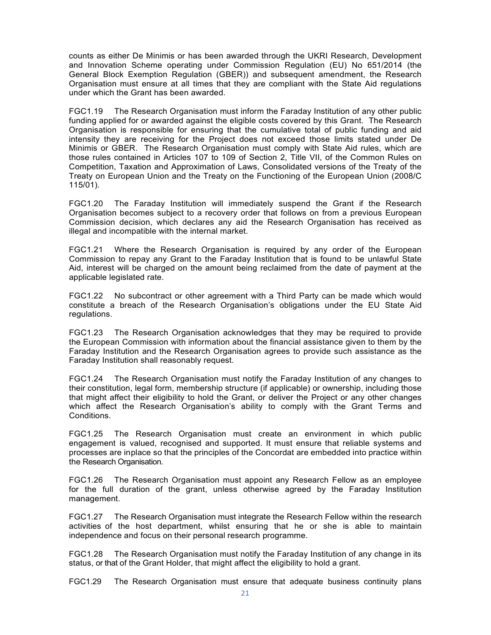counts as either De Minimis or has been awarded through the UKRI Research, Development and Innovation Scheme operating under Commission Regulation (EU) No 651/2014 (the General Block Exemption Regulation (GBER)) and subsequent amendment, the Research Organisation must ensure at all times that they are compliant with the State Aid regulations under which the Grant has been awarded.

FGC1.19 The Research Organisation must inform the Faraday Institution of any other public funding applied for or awarded against the eligible costs covered by this Grant. The Research Organisation is responsible for ensuring that the cumulative total of public funding and aid intensity they are receiving for the Project does not exceed those limits stated under De Minimis or GBER. The Research Organisation must comply with State Aid rules, which are those rules contained in Articles 107 to 109 of Section 2, Title VII, of the Common Rules on Competition, Taxation and Approximation of Laws, Consolidated versions of the Treaty of the Treaty on European Union and the Treaty on the Functioning of the European Union (2008/C 115/01).

FGC1.20 The Faraday Institution will immediately suspend the Grant if the Research Organisation becomes subject to a recovery order that follows on from a previous European Commission decision, which declares any aid the Research Organisation has received as illegal and incompatible with the internal market.

FGC1.21 Where the Research Organisation is required by any order of the European Commission to repay any Grant to the Faraday Institution that is found to be unlawful State Aid, interest will be charged on the amount being reclaimed from the date of payment at the applicable legislated rate.

FGC1.22 No subcontract or other agreement with a Third Party can be made which would constitute a breach of the Research Organisation's obligations under the EU State Aid regulations.

FGC1.23 The Research Organisation acknowledges that they may be required to provide the European Commission with information about the financial assistance given to them by the Faraday Institution and the Research Organisation agrees to provide such assistance as the Faraday Institution shall reasonably request.

FGC1.24 The Research Organisation must notify the Faraday Institution of any changes to their constitution, legal form, membership structure (if applicable) or ownership, including those that might affect their eligibility to hold the Grant, or deliver the Project or any other changes which affect the Research Organisation's ability to comply with the Grant Terms and Conditions.

FGC1.25 The Research Organisation must create an environment in which public engagement is valued, recognised and supported. It must ensure that reliable systems and processes are inplace so that the principles of the Concordat are embedded into practice within the Research Organisation.

FGC1.26 The Research Organisation must appoint any Research Fellow as an employee for the full duration of the grant, unless otherwise agreed by the Faraday Institution management.

FGC1.27 The Research Organisation must integrate the Research Fellow within the research activities of the host department, whilst ensuring that he or she is able to maintain independence and focus on their personal research programme.

FGC1.28 The Research Organisation must notify the Faraday Institution of any change in its status, or that of the Grant Holder, that might affect the eligibility to hold a grant.

FGC1.29 The Research Organisation must ensure that adequate business continuity plans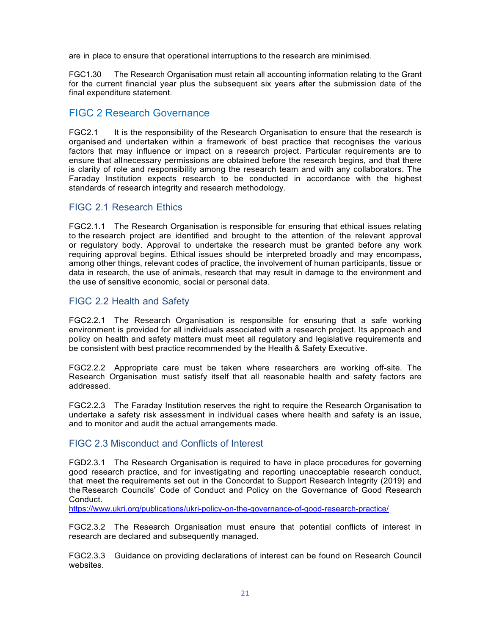are in place to ensure that operational interruptions to the research are minimised.

FGC1.30 The Research Organisation must retain all accounting information relating to the Grant for the current financial year plus the subsequent six years after the submission date of the final expenditure statement.

## <span id="page-7-0"></span>FIGC 2 Research Governance

FGC2.1 It is the responsibility of the Research Organisation to ensure that the research is organised and undertaken within a framework of best practice that recognises the various factors that may influence or impact on a research project. Particular requirements are to ensure that allnecessary permissions are obtained before the research begins, and that there is clarity of role and responsibility among the research team and with any collaborators. The Faraday Institution expects research to be conducted in accordance with the highest standards of research integrity and research methodology.

## <span id="page-7-1"></span>FIGC 2.1 Research Ethics

FGC2.1.1 The Research Organisation is responsible for ensuring that ethical issues relating to the research project are identified and brought to the attention of the relevant approval or regulatory body. Approval to undertake the research must be granted before any work requiring approval begins. Ethical issues should be interpreted broadly and may encompass, among other things, relevant codes of practice, the involvement of human participants, tissue or data in research, the use of animals, research that may result in damage to the environment and the use of sensitive economic, social or personal data.

## <span id="page-7-2"></span>FIGC 2.2 Health and Safety

FGC2.2.1 The Research Organisation is responsible for ensuring that a safe working environment is provided for all individuals associated with a research project. Its approach and policy on health and safety matters must meet all regulatory and legislative requirements and be consistent with best practice recommended by the Health & Safety Executive.

FGC2.2.2 Appropriate care must be taken where researchers are working off-site. The Research Organisation must satisfy itself that all reasonable health and safety factors are addressed.

FGC2.2.3 The Faraday Institution reserves the right to require the Research Organisation to undertake a safety risk assessment in individual cases where health and safety is an issue, and to monitor and audit the actual arrangements made.

## <span id="page-7-3"></span>FIGC 2.3 Misconduct and Conflicts of Interest

FGD2.3.1 The Research Organisation is required to have in place procedures for governing good research practice, and for investigating and reporting unacceptable research conduct, that meet the requirements set out in the Concordat to Support Research Integrity (2019) and the Research Councils' Code of Conduct and Policy on the Governance of Good Research Conduct.

<https://www.ukri.org/publications/ukri-policy-on-the-governance-of-good-research-practice/>

FGC2.3.2 The Research Organisation must ensure that potential conflicts of interest in research are declared and subsequently managed.

FGC2.3.3 Guidance on providing declarations of interest can be found on Research Council websites.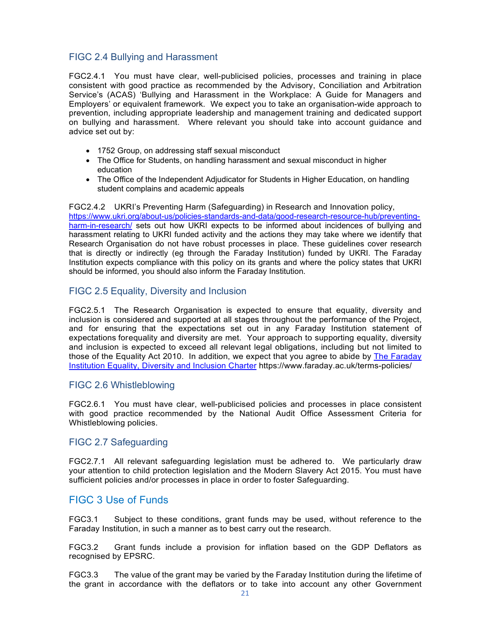## <span id="page-8-0"></span>FIGC 2.4 Bullying and Harassment

FGC2.4.1 You must have clear, well-publicised policies, processes and training in place consistent with good practice as recommended by the Advisory, Conciliation and Arbitration Service's (ACAS) 'Bullying and Harassment in the Workplace: A Guide for Managers and Employers' or equivalent framework. We expect you to take an organisation-wide approach to prevention, including appropriate leadership and management training and dedicated support on bullying and harassment. Where relevant you should take into account guidance and advice set out by:

- 1752 Group, on addressing staff sexual misconduct
- The Office for Students, on handling harassment and sexual misconduct in higher education
- The Office of the Independent Adjudicator for Students in Higher Education, on handling student complains and academic appeals

FGC2.4.2 UKRI's Preventing Harm (Safeguarding) in Research and Innovation policy, [https://www.ukri.org/about-us/policies-standards-and-data/good-research-resource-hub/preventing](https://www.ukri.org/about-us/policies-standards-and-data/good-research-resource-hub/preventing-harm-in-research/)[harm-in-research/](https://www.ukri.org/about-us/policies-standards-and-data/good-research-resource-hub/preventing-harm-in-research/) sets out how UKRI expects to be informed about incidences of bullying and harassment relating to UKRI funded activity and the actions they may take where we identify that Research Organisation do not have robust processes in place. These guidelines cover research that is directly or indirectly (eg through the Faraday Institution) funded by UKRI. The Faraday Institution expects compliance with this policy on its grants and where the policy states that UKRI should be informed, you should also inform the Faraday Institution.

#### <span id="page-8-1"></span>FIGC 2.5 Equality, Diversity and Inclusion

FGC2.5.1 The Research Organisation is expected to ensure that equality, diversity and inclusion is considered and supported at all stages throughout the performance of the Project, and for ensuring that the expectations set out in any Faraday Institution statement of expectations forequality and diversity are met. Your approach to supporting equality, diversity and inclusion is expected to exceed all relevant legal obligations, including but not limited to those of the Equality Act 2010. In addition, we expect that you agree to abide by The Faraday [Institution Equality, Diversity and Inclusion Charter](https://www.faraday.ac.uk/wp-content/uploads/2021/06/FI_EDI_Charter_FINAL_June2021.pdf) https://www.faraday.ac.uk/terms-policies/

#### <span id="page-8-2"></span>FIGC 2.6 Whistleblowing

FGC2.6.1 You must have clear, well-publicised policies and processes in place consistent with good practice recommended by the National Audit Office Assessment Criteria for Whistleblowing policies.

## <span id="page-8-3"></span>FIGC 2.7 Safeguarding

FGC2.7.1 All relevant safeguarding legislation must be adhered to. We particularly draw your attention to child protection legislation and the Modern Slavery Act 2015. You must have sufficient policies and/or processes in place in order to foster Safeguarding.

## <span id="page-8-4"></span>FIGC 3 Use of Funds

FGC3.1 Subject to these conditions, grant funds may be used, without reference to the Faraday Institution, in such a manner as to best carry out the research.

FGC3.2 Grant funds include a provision for inflation based on the GDP Deflators as recognised by EPSRC.

FGC3.3 The value of the grant may be varied by the Faraday Institution during the lifetime of the grant in accordance with the deflators or to take into account any other Government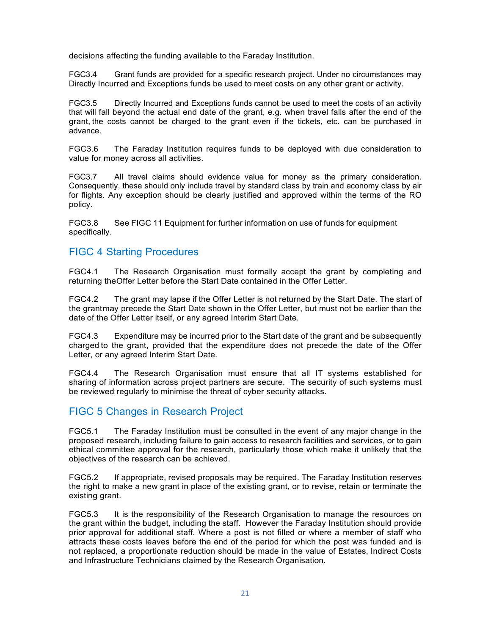decisions affecting the funding available to the Faraday Institution.

FGC3.4 Grant funds are provided for a specific research project. Under no circumstances may Directly Incurred and Exceptions funds be used to meet costs on any other grant or activity.

FGC3.5 Directly Incurred and Exceptions funds cannot be used to meet the costs of an activity that will fall beyond the actual end date of the grant, e.g. when travel falls after the end of the grant, the costs cannot be charged to the grant even if the tickets, etc. can be purchased in advance.

FGC3.6 The Faraday Institution requires funds to be deployed with due consideration to value for money across all activities.

FGC3.7 All travel claims should evidence value for money as the primary consideration. Consequently, these should only include travel by standard class by train and economy class by air for flights. Any exception should be clearly justified and approved within the terms of the RO policy.

FGC3.8 See FIGC 11 Equipment for further information on use of funds for equipment specifically.

## <span id="page-9-0"></span>FIGC 4 Starting Procedures

FGC4.1 The Research Organisation must formally accept the grant by completing and returning theOffer Letter before the Start Date contained in the Offer Letter.

FGC4.2 The grant may lapse if the Offer Letter is not returned by the Start Date. The start of the grantmay precede the Start Date shown in the Offer Letter, but must not be earlier than the date of the Offer Letter itself, or any agreed Interim Start Date.

FGC4.3 Expenditure may be incurred prior to the Start date of the grant and be subsequently charged to the grant, provided that the expenditure does not precede the date of the Offer Letter, or any agreed Interim Start Date.

FGC4.4 The Research Organisation must ensure that all IT systems established for sharing of information across project partners are secure. The security of such systems must be reviewed regularly to minimise the threat of cyber security attacks.

## <span id="page-9-1"></span>FIGC 5 Changes in Research Project

FGC5.1 The Faraday Institution must be consulted in the event of any major change in the proposed research, including failure to gain access to research facilities and services, or to gain ethical committee approval for the research, particularly those which make it unlikely that the objectives of the research can be achieved.

FGC5.2 If appropriate, revised proposals may be required. The Faraday Institution reserves the right to make a new grant in place of the existing grant, or to revise, retain or terminate the existing grant.

FGC5.3 It is the responsibility of the Research Organisation to manage the resources on the grant within the budget, including the staff. However the Faraday Institution should provide prior approval for additional staff. Where a post is not filled or where a member of staff who attracts these costs leaves before the end of the period for which the post was funded and is not replaced, a proportionate reduction should be made in the value of Estates, Indirect Costs and Infrastructure Technicians claimed by the Research Organisation.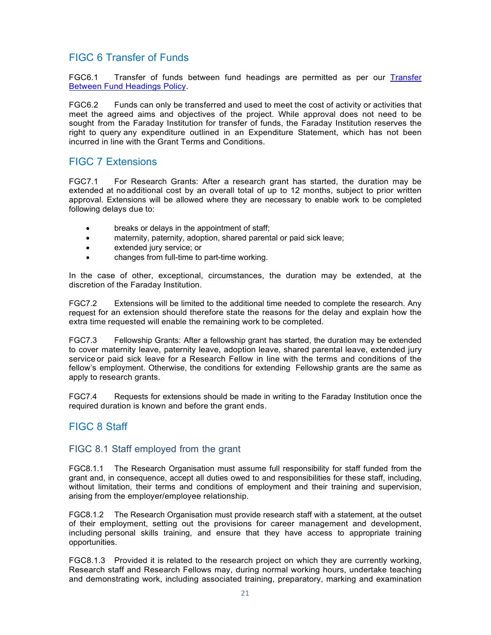## <span id="page-10-0"></span>FIGC 6 Transfer of Funds

FGC6.1 [Transfer](https://www.faraday.ac.uk/wp-content/uploads/2022/04/Policy-for-Transfering-Funds.pdf) of funds between fund headings are permitted as per our Transfer [Between Fund Headings Policy.](https://www.faraday.ac.uk/wp-content/uploads/2022/04/Policy-for-Transfering-Funds.pdf)

FGC6.2 Funds can only be transferred and used to meet the cost of activity or activities that meet the agreed aims and objectives of the project. While approval does not need to be sought from the Faraday Institution for transfer of funds, the Faraday Institution reserves the right to query any expenditure outlined in an Expenditure Statement, which has not been incurred in line with the Grant Terms and Conditions.

## <span id="page-10-1"></span>FIGC 7 Extensions

FGC7.1 For Research Grants: After a research grant has started, the duration may be extended at no additional cost by an overall total of up to 12 months, subject to prior written approval. Extensions will be allowed where they are necessary to enable work to be completed following delays due to:

- breaks or delays in the appointment of staff;
- maternity, paternity, adoption, shared parental or paid sick leave;
- extended jury service; or
- changes from full-time to part-time working.

In the case of other, exceptional, circumstances, the duration may be extended, at the discretion of the Faraday Institution.

FGC7.2 Extensions will be limited to the additional time needed to complete the research. Any request for an extension should therefore state the reasons for the delay and explain how the extra time requested will enable the remaining work to be completed.

FGC7.3 Fellowship Grants: After a fellowship grant has started, the duration may be extended to cover maternity leave, paternity leave, adoption leave, shared parental leave, extended jury service or paid sick leave for a Research Fellow in line with the terms and conditions of the fellow's employment. Otherwise, the conditions for extending Fellowship grants are the same as apply to research grants.

FGC7.4 Requests for extensions should be made in writing to the Faraday Institution once the required duration is known and before the grant ends.

## <span id="page-10-2"></span>FIGC 8 Staff

## <span id="page-10-3"></span>FIGC 8.1 Staff employed from the grant

FGC8.1.1 The Research Organisation must assume full responsibility for staff funded from the grant and, in consequence, accept all duties owed to and responsibilities for these staff, including, without limitation, their terms and conditions of employment and their training and supervision, arising from the employer/employee relationship.

FGC8.1.2 The Research Organisation must provide research staff with a statement, at the outset of their employment, setting out the provisions for career management and development, including personal skills training, and ensure that they have access to appropriate training opportunities.

FGC8.1.3 Provided it is related to the research project on which they are currently working, Research staff and Research Fellows may, during normal working hours, undertake teaching and demonstrating work, including associated training, preparatory, marking and examination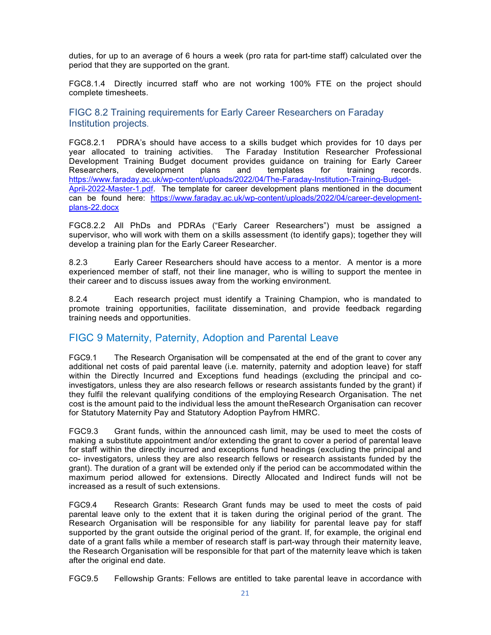duties, for up to an average of 6 hours a week (pro rata for part-time staff) calculated over the period that they are supported on the grant.

FGC8.1.4 Directly incurred staff who are not working 100% FTE on the project should complete timesheets.

<span id="page-11-0"></span>FIGC 8.2 Training requirements for Early Career Researchers on Faraday Institution projects.

FGC8.2.1 PDRA's should have access to a skills budget which provides for 10 days per year allocated to training activities. The Faraday Institution Researcher Professional Development Training Budget document provides guidance on training for Early Career Researchers, development plans and templates for training records. [https://www.faraday.ac.uk/wp-content/uploads/2022/04/The-Faraday-Institution-Training-Budget-](https://www.faraday.ac.uk/wp-content/uploads/2022/04/The-Faraday-Institution-Training-Budget-April-2022-Master-1.pdf)[April-2022-Master-1.pdf.](https://www.faraday.ac.uk/wp-content/uploads/2022/04/The-Faraday-Institution-Training-Budget-April-2022-Master-1.pdf) The template for career development plans mentioned in the document can be found here: [https://www.faraday.ac.uk/wp-content/uploads/2022/04/career-development](https://www.faraday.ac.uk/wp-content/uploads/2022/04/career-development-plans-22.docx)[plans-22.docx](https://www.faraday.ac.uk/wp-content/uploads/2022/04/career-development-plans-22.docx)

FGC8.2.2 All PhDs and PDRAs ("Early Career Researchers") must be assigned a supervisor, who will work with them on a skills assessment (to identify gaps); together they will develop a training plan for the Early Career Researcher.

8.2.3 Early Career Researchers should have access to a mentor. A mentor is a more experienced member of staff, not their line manager, who is willing to support the mentee in their career and to discuss issues away from the working environment.

8.2.4 Each research project must identify a Training Champion, who is mandated to promote training opportunities, facilitate dissemination, and provide feedback regarding training needs and opportunities.

## <span id="page-11-1"></span>FIGC 9 Maternity, Paternity, Adoption and Parental Leave

FGC9.1 The Research Organisation will be compensated at the end of the grant to cover any additional net costs of paid parental leave (i.e. maternity, paternity and adoption leave) for staff within the Directly Incurred and Exceptions fund headings (excluding the principal and coinvestigators, unless they are also research fellows or research assistants funded by the grant) if they fulfil the relevant qualifying conditions of the employing Research Organisation. The net cost is the amount paid to the individual less the amount theResearch Organisation can recover for Statutory Maternity Pay and Statutory Adoption Payfrom HMRC.

FGC9.3 Grant funds, within the announced cash limit, may be used to meet the costs of making a substitute appointment and/or extending the grant to cover a period of parental leave for staff within the directly incurred and exceptions fund headings (excluding the principal and co- investigators, unless they are also research fellows or research assistants funded by the grant). The duration of a grant will be extended only if the period can be accommodated within the maximum period allowed for extensions. Directly Allocated and Indirect funds will not be increased as a result of such extensions.

FGC9.4 Research Grants: Research Grant funds may be used to meet the costs of paid parental leave only to the extent that it is taken during the original period of the grant. The Research Organisation will be responsible for any liability for parental leave pay for staff supported by the grant outside the original period of the grant. If, for example, the original end date of a grant falls while a member of research staff is part-way through their maternity leave, the Research Organisation will be responsible for that part of the maternity leave which is taken after the original end date.

FGC9.5 Fellowship Grants: Fellows are entitled to take parental leave in accordance with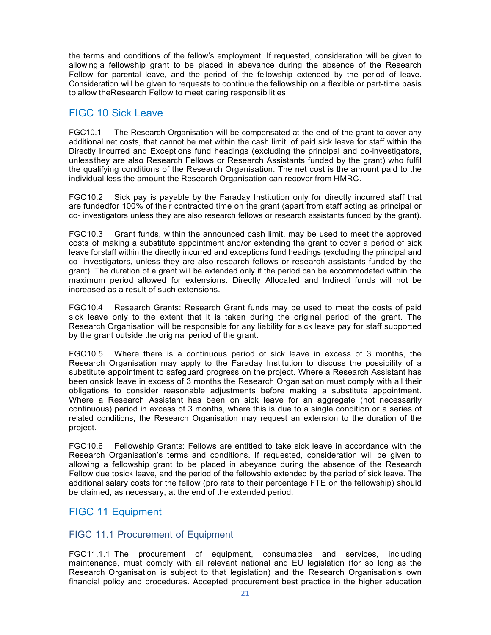the terms and conditions of the fellow's employment. If requested, consideration will be given to allowing a fellowship grant to be placed in abeyance during the absence of the Research Fellow for parental leave, and the period of the fellowship extended by the period of leave. Consideration will be given to requests to continue the fellowship on a flexible or part-time basis to allow theResearch Fellow to meet caring responsibilities.

## <span id="page-12-0"></span>FIGC 10 Sick Leave

FGC10.1 The Research Organisation will be compensated at the end of the grant to cover any additional net costs, that cannot be met within the cash limit, of paid sick leave for staff within the Directly Incurred and Exceptions fund headings (excluding the principal and co-investigators, unlessthey are also Research Fellows or Research Assistants funded by the grant) who fulfil the qualifying conditions of the Research Organisation. The net cost is the amount paid to the individual less the amount the Research Organisation can recover from HMRC.

FGC10.2 Sick pay is payable by the Faraday Institution only for directly incurred staff that are fundedfor 100% of their contracted time on the grant (apart from staff acting as principal or co- investigators unless they are also research fellows or research assistants funded by the grant).

FGC10.3 Grant funds, within the announced cash limit, may be used to meet the approved costs of making a substitute appointment and/or extending the grant to cover a period of sick leave forstaff within the directly incurred and exceptions fund headings (excluding the principal and co- investigators, unless they are also research fellows or research assistants funded by the grant). The duration of a grant will be extended only if the period can be accommodated within the maximum period allowed for extensions. Directly Allocated and Indirect funds will not be increased as a result of such extensions.

FGC10.4 Research Grants: Research Grant funds may be used to meet the costs of paid sick leave only to the extent that it is taken during the original period of the grant. The Research Organisation will be responsible for any liability for sick leave pay for staff supported by the grant outside the original period of the grant.

FGC10.5 Where there is a continuous period of sick leave in excess of 3 months, the Research Organisation may apply to the Faraday Institution to discuss the possibility of a substitute appointment to safeguard progress on the project. Where a Research Assistant has been onsick leave in excess of 3 months the Research Organisation must comply with all their obligations to consider reasonable adjustments before making a substitute appointment. Where a Research Assistant has been on sick leave for an aggregate (not necessarily continuous) period in excess of 3 months, where this is due to a single condition or a series of related conditions, the Research Organisation may request an extension to the duration of the project.

FGC10.6 Fellowship Grants: Fellows are entitled to take sick leave in accordance with the Research Organisation's terms and conditions. If requested, consideration will be given to allowing a fellowship grant to be placed in abeyance during the absence of the Research Fellow due tosick leave, and the period of the fellowship extended by the period of sick leave. The additional salary costs for the fellow (pro rata to their percentage FTE on the fellowship) should be claimed, as necessary, at the end of the extended period.

## <span id="page-12-1"></span>FIGC 11 Equipment

## <span id="page-12-2"></span>FIGC 11.1 Procurement of Equipment

FGC11.1.1 The procurement of equipment, consumables and services, including maintenance, must comply with all relevant national and EU legislation (for so long as the Research Organisation is subject to that legislation) and the Research Organisation's own financial policy and procedures. Accepted procurement best practice in the higher education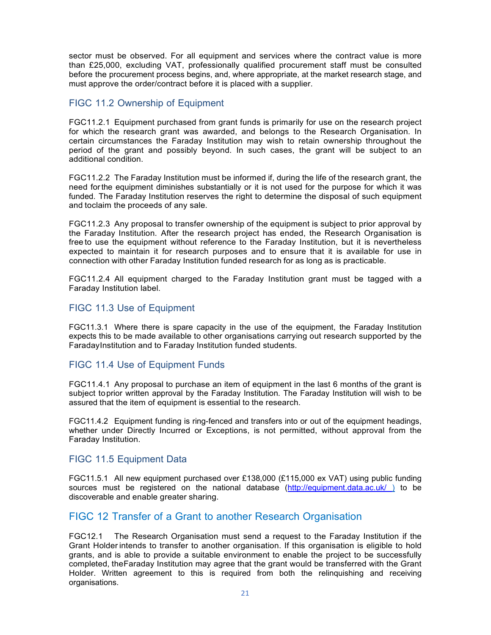sector must be observed. For all equipment and services where the contract value is more than £25,000, excluding VAT, professionally qualified procurement staff must be consulted before the procurement process begins, and, where appropriate, at the market research stage, and must approve the order/contract before it is placed with a supplier.

## <span id="page-13-0"></span>FIGC 11.2 Ownership of Equipment

FGC11.2.1 Equipment purchased from grant funds is primarily for use on the research project for which the research grant was awarded, and belongs to the Research Organisation. In certain circumstances the Faraday Institution may wish to retain ownership throughout the period of the grant and possibly beyond. In such cases, the grant will be subject to an additional condition.

FGC11.2.2 The Faraday Institution must be informed if, during the life of the research grant, the need forthe equipment diminishes substantially or it is not used for the purpose for which it was funded. The Faraday Institution reserves the right to determine the disposal of such equipment and toclaim the proceeds of any sale.

FGC11.2.3 Any proposal to transfer ownership of the equipment is subject to prior approval by the Faraday Institution. After the research project has ended, the Research Organisation is free to use the equipment without reference to the Faraday Institution, but it is nevertheless expected to maintain it for research purposes and to ensure that it is available for use in connection with other Faraday Institution funded research for as long as is practicable.

FGC11.2.4 All equipment charged to the Faraday Institution grant must be tagged with a Faraday Institution label.

## <span id="page-13-1"></span>FIGC 11.3 Use of Equipment

FGC11.3.1 Where there is spare capacity in the use of the equipment, the Faraday Institution expects this to be made available to other organisations carrying out research supported by the FaradayInstitution and to Faraday Institution funded students.

## <span id="page-13-2"></span>FIGC 11.4 Use of Equipment Funds

FGC11.4.1 Any proposal to purchase an item of equipment in the last 6 months of the grant is subject toprior written approval by the Faraday Institution. The Faraday Institution will wish to be assured that the item of equipment is essential to the research.

FGC11.4.2 Equipment funding is ring-fenced and transfers into or out of the equipment headings, whether under Directly Incurred or Exceptions, is not permitted, without approval from the Faraday Institution.

## <span id="page-13-3"></span>FIGC 11.5 Equipment Data

FGC11.5.1 All new equipment purchased over £138,000 (£115,000 ex VAT) using public funding sources must be registered on the national database (http://equipment.data.ac.uk/) to be discoverable and enable greater sharing.

## <span id="page-13-4"></span>FIGC 12 Transfer of a Grant to another Research Organisation

FGC12.1 The Research Organisation must send a request to the Faraday Institution if the Grant Holder intends to transfer to another organisation. If this organisation is eligible to hold grants, and is able to provide a suitable environment to enable the project to be successfully completed, theFaraday Institution may agree that the grant would be transferred with the Grant Holder. Written agreement to this is required from both the relinquishing and receiving organisations.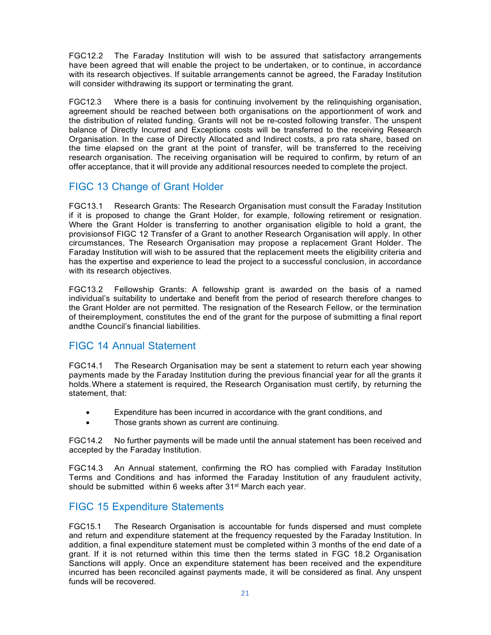FGC12.2 The Faraday Institution will wish to be assured that satisfactory arrangements have been agreed that will enable the project to be undertaken, or to continue, in accordance with its research objectives. If suitable arrangements cannot be agreed, the Faraday Institution will consider withdrawing its support or terminating the grant.

FGC12.3 Where there is a basis for continuing involvement by the relinquishing organisation, agreement should be reached between both organisations on the apportionment of work and the distribution of related funding. Grants will not be re-costed following transfer. The unspent balance of Directly Incurred and Exceptions costs will be transferred to the receiving Research Organisation. In the case of Directly Allocated and Indirect costs, a pro rata share, based on the time elapsed on the grant at the point of transfer, will be transferred to the receiving research organisation. The receiving organisation will be required to confirm, by return of an offer acceptance, that it will provide any additional resources needed to complete the project.

## <span id="page-14-0"></span>FIGC 13 Change of Grant Holder

FGC13.1 Research Grants: The Research Organisation must consult the Faraday Institution if it is proposed to change the Grant Holder, for example, following retirement or resignation. Where the Grant Holder is transferring to another organisation eligible to hold a grant, the provisionsof FIGC 12 Transfer of a Grant to another Research Organisation will apply. In other circumstances, The Research Organisation may propose a replacement Grant Holder. The Faraday Institution will wish to be assured that the replacement meets the eligibility criteria and has the expertise and experience to lead the project to a successful conclusion, in accordance with its research objectives.

FGC13.2 Fellowship Grants: A fellowship grant is awarded on the basis of a named individual's suitability to undertake and benefit from the period of research therefore changes to the Grant Holder are not permitted. The resignation of the Research Fellow, or the termination of theiremployment, constitutes the end of the grant for the purpose of submitting a final report andthe Council's financial liabilities.

## <span id="page-14-1"></span>FIGC 14 Annual Statement

FGC14.1 The Research Organisation may be sent a statement to return each year showing payments made by the Faraday Institution during the previous financial year for all the grants it holds.Where a statement is required, the Research Organisation must certify, by returning the statement, that:

- Expenditure has been incurred in accordance with the grant conditions, and
- Those grants shown as current are continuing.

FGC14.2 No further payments will be made until the annual statement has been received and accepted by the Faraday Institution.

FGC14.3 An Annual statement, confirming the RO has complied with Faraday Institution Terms and Conditions and has informed the Faraday Institution of any fraudulent activity, should be submitted within 6 weeks after 31<sup>st</sup> March each year.

## <span id="page-14-2"></span>FIGC 15 Expenditure Statements

FGC15.1 The Research Organisation is accountable for funds dispersed and must complete and return and expenditure statement at the frequency requested by the Faraday Institution. In addition, a final expenditure statement must be completed within 3 months of the end date of a grant. If it is not returned within this time then the terms stated in FGC 18.2 Organisation Sanctions will apply. Once an expenditure statement has been received and the expenditure incurred has been reconciled against payments made, it will be considered as final. Any unspent funds will be recovered.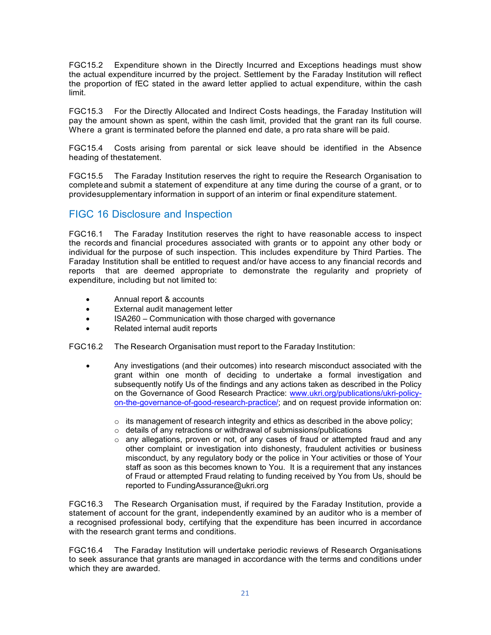FGC15.2 Expenditure shown in the Directly Incurred and Exceptions headings must show the actual expenditure incurred by the project. Settlement by the Faraday Institution will reflect the proportion of fEC stated in the award letter applied to actual expenditure, within the cash limit.

FGC15.3 For the Directly Allocated and Indirect Costs headings, the Faraday Institution will pay the amount shown as spent, within the cash limit, provided that the grant ran its full course. Where a grant is terminated before the planned end date, a pro rata share will be paid.

FGC15.4 Costs arising from parental or sick leave should be identified in the Absence heading of thestatement.

FGC15.5 The Faraday Institution reserves the right to require the Research Organisation to completeand submit a statement of expenditure at any time during the course of a grant, or to providesupplementary information in support of an interim or final expenditure statement.

## <span id="page-15-0"></span>FIGC 16 Disclosure and Inspection

FGC16.1 The Faraday Institution reserves the right to have reasonable access to inspect the records and financial procedures associated with grants or to appoint any other body or individual for the purpose of such inspection. This includes expenditure by Third Parties. The Faraday Institution shall be entitled to request and/or have access to any financial records and reports that are deemed appropriate to demonstrate the regularity and propriety of expenditure, including but not limited to:

- Annual report & accounts
- External audit management letter
- ISA260 Communication with those charged with governance
- Related internal audit reports

FGC16.2 The Research Organisation must report to the Faraday Institution:

- Any investigations (and their outcomes) into research misconduct associated with the grant within one month of deciding to undertake a formal investigation and subsequently notify Us of the findings and any actions taken as described in the Policy on the Governance of Good Research Practice: [www.ukri.org/publications/ukri-policy](http://www.ukri.org/publications/ukri-policy-on-the-governance-of-good-research-practice/)[on-the-governance-of-good-research-practice/;](http://www.ukri.org/publications/ukri-policy-on-the-governance-of-good-research-practice/) and on request provide information on:
	- $\circ$  its management of research integrity and ethics as described in the above policy;
	- o details of any retractions or withdrawal of submissions/publications
	- $\circ$  any allegations, proven or not, of any cases of fraud or attempted fraud and any other complaint or investigation into dishonesty, fraudulent activities or business misconduct, by any regulatory body or the police in Your activities or those of Your staff as soon as this becomes known to You. It is a requirement that any instances of Fraud or attempted Fraud relating to funding received by You from Us, should be reported to FundingAssurance@ukri.org

FGC16.3 The Research Organisation must, if required by the Faraday Institution, provide a statement of account for the grant, independently examined by an auditor who is a member of a recognised professional body, certifying that the expenditure has been incurred in accordance with the research grant terms and conditions.

FGC16.4 The Faraday Institution will undertake periodic reviews of Research Organisations to seek assurance that grants are managed in accordance with the terms and conditions under which they are awarded.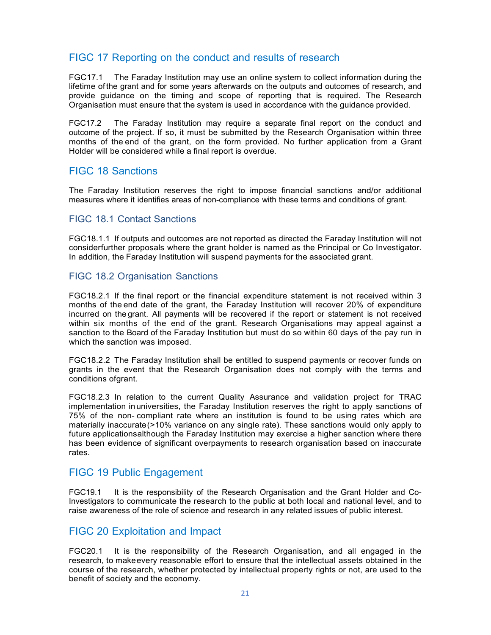## <span id="page-16-0"></span>FIGC 17 Reporting on the conduct and results of research

FGC17.1 The Faraday Institution may use an online system to collect information during the lifetime of the grant and for some years afterwards on the outputs and outcomes of research, and provide guidance on the timing and scope of reporting that is required. The Research Organisation must ensure that the system is used in accordance with the guidance provided.

FGC17.2 The Faraday Institution may require a separate final report on the conduct and outcome of the project. If so, it must be submitted by the Research Organisation within three months of the end of the grant, on the form provided. No further application from a Grant Holder will be considered while a final report is overdue.

## <span id="page-16-1"></span>FIGC 18 Sanctions

The Faraday Institution reserves the right to impose financial sanctions and/or additional measures where it identifies areas of non-compliance with these terms and conditions of grant.

#### <span id="page-16-2"></span>FIGC 18.1 Contact Sanctions

FGC18.1.1 If outputs and outcomes are not reported as directed the Faraday Institution will not considerfurther proposals where the grant holder is named as the Principal or Co Investigator. In addition, the Faraday Institution will suspend payments for the associated grant.

#### <span id="page-16-3"></span>FIGC 18.2 Organisation Sanctions

FGC18.2.1 If the final report or the financial expenditure statement is not received within 3 months of the end date of the grant, the Faraday Institution will recover 20% of expenditure incurred on the grant. All payments will be recovered if the report or statement is not received within six months of the end of the grant. Research Organisations may appeal against a sanction to the Board of the Faraday Institution but must do so within 60 days of the pay run in which the sanction was imposed.

FGC18.2.2 The Faraday Institution shall be entitled to suspend payments or recover funds on grants in the event that the Research Organisation does not comply with the terms and conditions ofgrant.

FGC18.2.3 In relation to the current Quality Assurance and validation project for TRAC implementation inuniversities, the Faraday Institution reserves the right to apply sanctions of 75% of the non- compliant rate where an institution is found to be using rates which are materially inaccurate(>10% variance on any single rate). These sanctions would only apply to future applicationsalthough the Faraday Institution may exercise a higher sanction where there has been evidence of significant overpayments to research organisation based on inaccurate rates.

## <span id="page-16-4"></span>FIGC 19 Public Engagement

FGC19.1 It is the responsibility of the Research Organisation and the Grant Holder and Co-Investigators to communicate the research to the public at both local and national level, and to raise awareness of the role of science and research in any related issues of public interest.

## <span id="page-16-5"></span>FIGC 20 Exploitation and Impact

FGC20.1 It is the responsibility of the Research Organisation, and all engaged in the research, to makeevery reasonable effort to ensure that the intellectual assets obtained in the course of the research, whether protected by intellectual property rights or not, are used to the benefit of society and the economy.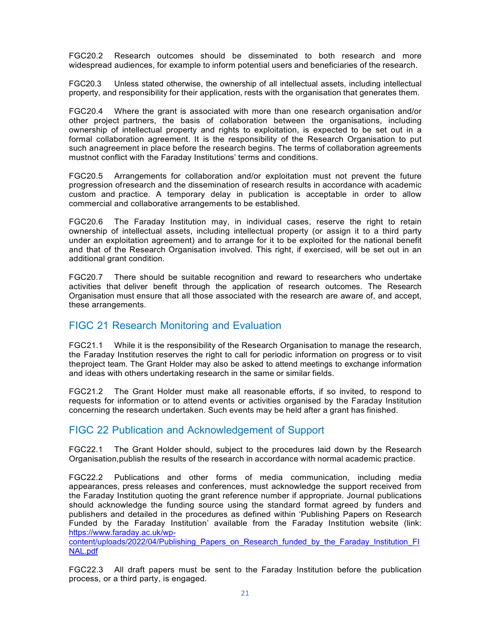FGC20.2 Research outcomes should be disseminated to both research and more widespread audiences, for example to inform potential users and beneficiaries of the research.

FGC20.3 Unless stated otherwise, the ownership of all intellectual assets, including intellectual property, and responsibility for their application, rests with the organisation that generates them.

FGC20.4 Where the grant is associated with more than one research organisation and/or other project partners, the basis of collaboration between the organisations, including ownership of intellectual property and rights to exploitation, is expected to be set out in a formal collaboration agreement. It is the responsibility of the Research Organisation to put such anagreement in place before the research begins. The terms of collaboration agreements mustnot conflict with the Faraday Institutions' terms and conditions.

FGC20.5 Arrangements for collaboration and/or exploitation must not prevent the future progression ofresearch and the dissemination of research results in accordance with academic custom and practice. A temporary delay in publication is acceptable in order to allow commercial and collaborative arrangements to be established.

FGC20.6 The Faraday Institution may, in individual cases, reserve the right to retain ownership of intellectual assets, including intellectual property (or assign it to a third party under an exploitation agreement) and to arrange for it to be exploited for the national benefit and that of the Research Organisation involved. This right, if exercised, will be set out in an additional grant condition.

FGC20.7 There should be suitable recognition and reward to researchers who undertake activities that deliver benefit through the application of research outcomes. The Research Organisation must ensure that all those associated with the research are aware of, and accept, these arrangements.

## <span id="page-17-0"></span>FIGC 21 Research Monitoring and Evaluation

FGC21.1 While it is the responsibility of the Research Organisation to manage the research, the Faraday Institution reserves the right to call for periodic information on progress or to visit theproject team. The Grant Holder may also be asked to attend meetings to exchange information and ideas with others undertaking research in the same or similar fields.

FGC21.2 The Grant Holder must make all reasonable efforts, if so invited, to respond to requests for information or to attend events or activities organised by the Faraday Institution concerning the research undertaken. Such events may be held after a grant has finished.

## <span id="page-17-1"></span>FIGC 22 Publication and Acknowledgement of Support

FGC22.1 The Grant Holder should, subject to the procedures laid down by the Research Organisation,publish the results of the research in accordance with normal academic practice.

FGC22.2 Publications and other forms of media communication, including media appearances, press releases and conferences, must acknowledge the support received from the Faraday Institution quoting the grant reference number if appropriate. Journal publications should acknowledge the funding source using the standard format agreed by funders and publishers and detailed in the procedures as defined within 'Publishing Papers on Research Funded by the Faraday Institution' available from the Faraday Institution website (link: [https://www.faraday.ac.uk/wp-](https://www.faraday.ac.uk/wp-content/uploads/2022/04/Publishing_Papers_on_Research_funded_by_the_Faraday_Institution_FINAL.pdf)

[content/uploads/2022/04/Publishing\\_Papers\\_on\\_Research\\_funded\\_by\\_the\\_Faraday\\_Institution\\_FI](https://www.faraday.ac.uk/wp-content/uploads/2022/04/Publishing_Papers_on_Research_funded_by_the_Faraday_Institution_FINAL.pdf) [NAL.pdf](https://www.faraday.ac.uk/wp-content/uploads/2022/04/Publishing_Papers_on_Research_funded_by_the_Faraday_Institution_FINAL.pdf)

FGC22.3 All draft papers must be sent to the Faraday Institution before the publication process, or a third party, is engaged.